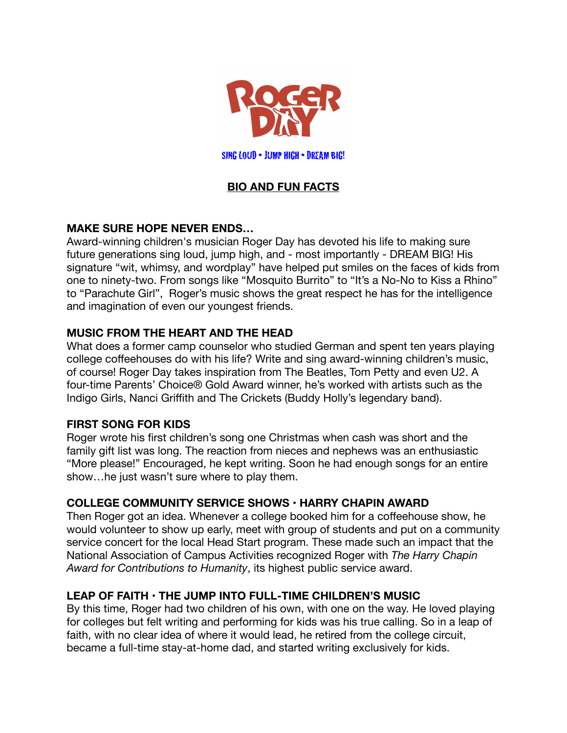

SING LOUD • JUMP HIGH • DREAM BIG!

# **BIO AND FUN FACTS**

### **MAKE SURE HOPE NEVER ENDS…**

Award-winning children's musician Roger Day has devoted his life to making sure future generations sing loud, jump high, and - most importantly - DREAM BIG! His signature "wit, whimsy, and wordplay" have helped put smiles on the faces of kids from one to ninety-two. From songs like "Mosquito Burrito" to "It's a No-No to Kiss a Rhino" to "Parachute Girl", Roger's music shows the great respect he has for the intelligence and imagination of even our youngest friends.

### **MUSIC FROM THE HEART AND THE HEAD**

What does a former camp counselor who studied German and spent ten years playing college coffeehouses do with his life? Write and sing award-winning children's music, of course! Roger Day takes inspiration from The Beatles, Tom Petty and even U2. A four-time Parents' Choice® Gold Award winner, he's worked with artists such as the Indigo Girls, Nanci Griffith and The Crickets (Buddy Holly's legendary band).

### **FIRST SONG FOR KIDS**

Roger wrote his first children's song one Christmas when cash was short and the family gift list was long. The reaction from nieces and nephews was an enthusiastic "More please!" Encouraged, he kept writing. Soon he had enough songs for an entire show…he just wasn't sure where to play them.

### **COLLEGE COMMUNITY SERVICE SHOWS • HARRY CHAPIN AWARD**

Then Roger got an idea. Whenever a college booked him for a coffeehouse show, he would volunteer to show up early, meet with group of students and put on a community service concert for the local Head Start program. These made such an impact that the National Association of Campus Activities recognized Roger with *The Harry Chapin Award for Contributions to Humanity*, its highest public service award.

### **LEAP OF FAITH • THE JUMP INTO FULL-TIME CHILDREN'S MUSIC**

By this time, Roger had two children of his own, with one on the way. He loved playing for colleges but felt writing and performing for kids was his true calling. So in a leap of faith, with no clear idea of where it would lead, he retired from the college circuit, became a full-time stay-at-home dad, and started writing exclusively for kids.